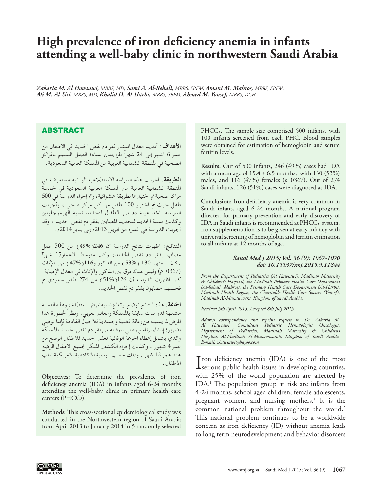# **High prevalence of iron deficiency anemia in infants attending a well-baby clinic in northwestern Saudi Arabia**

*Zakaria M. Al Hawsawi, MBBS, MD, Sami A. Al-Rehali, MBBS, SBFM, Amani M. Mahros, MBBS, SBFM, Ali M. Al-Sisi, MBBS, MD, Khalid D. Al-Harbi, MBBS, SBFM, Ahmed M. Yousef, MBBS, DCH.*

## ABSTRACT

**األهداف:** حتديد معدل انتشار فقر دم نقص احلديد في األطفال من عمر 6 أشهر إلى 24 شهراً املراجعني لعيادة الطفل السليم باملراكز الصحية في املنطقة الشمالية الغربية من اململكة العربية السعودية.

**الطريقة:** اجريت هذه الدراسة االستطالعية الوبائية مستعرضة في املنطقة الشمالية الغربية من اململكة العربية السعودية في خمسة مراكز صحية تم اختيارها بطريقة عشوائية، وتم إجراء الدراسة في 500 طفل حيث مت اختيار 100 طفل من كل مركز صحي ، وأجريت الدراسة بأخذ عينة دم من األطفال لتحديد نسبة الهيموجلوبني وكذلك نسبة احلديد لتحديد املصابني بفقر دم نقص احلديد ، وقد أجريت الدراسة في الفترة من أبريل 2013م إلى يناير 2014م.

ا**لنتائج**: اظهرت نتائج الدراسة أن 246(49%) من 500 طفل مصاب بفقر دم نقص احلديد, وكان متوسط األعمار15 شهرآ ,كان منهم 130 )53%( من الذكور و116)47%( من اإلناث )0367=*p* )وليس هناك فرق بني الذكور واإلناث في معدل اإلصابة. كما اظهرت الدراسة أن 126( 51%) من 274 طفل سعودي تم فحصهم مصابون بفقر دم نقص احلديد.

**اخلامتة:** هذه النتائج توضح ارتفاع نسبة املرض باملنطقة ، وهذه النسبة مشابهة لدراسات سابقة باململكة والعالم العربي. ونظراً خلطورة هذا املرض ملا يسببه من إعاقة ذهنية وجسدية لألجيال القادمة فإننا نوصي بضرورة إنشاء برنامج وطني للوقاية من فقر دم نقص احلديد باململكة والذي يشمل إعطاء اجلرعة الوقائية لعقار احلديد لألطفال الرضع من عمر 4 شهور ، وكذلك إجراء الكشف املبكر جلميع األطفال الرضع عند عمر 12 شهر ، وذلك حسب توصية الأكاديمية الأمريكية لطب األطفال.

**Objectives:** To determine the prevalence of iron deficiency anemia (IDA) in infants aged 6-24 months attending the well-baby clinic in primary health care centers (PHCCs).

**Methods:** This cross-sectional epidemiological study was conducted in the Northwestern region of Saudi Arabia from April 2013 to January 2014 in 5 randomly selected

PHCCs. The sample size comprised 500 infants, with 100 infants screened from each PHC. Blood samples were obtained for estimation of hemoglobin and serum ferritin levels.

**Results:** Out of 500 infants, 246 (49%) cases had IDA with a mean age of  $15.4 \pm 6.5$  months, with  $130 (53%)$ males, and 116 (47%) females (*p*=0367). Out of 274 Saudi infants, 126 (51%) cases were diagnosed as IDA.

**Conclusion:** Iron deficiency anemia is very common in Saudi infants aged 6-24 months. A national program directed for primary prevention and early discovery of IDA in Saudi infants is recommended at PHCCs system. Iron supplementation is to be given at early infancy with universal screening of hemoglobin and ferritin estimation to all infants at 12 months of age.

#### *Saudi Med J 2015; Vol. 36 (9): 1067-1070 doi: 10.15537/smj.2015.9.11844*

*From the Department of Pediatrics (Al Hawsawi), Madinah Maternity & Children's Hospital, the Madinah Primary Health Care Department (Al-Rehali, Mahros), the Primary Health Care Department (Al-Harbi), Madinah Health Region, the Charitable Health Care Society (Yousef), Madinah Al-Munawwara, Kingdom of Saudi Arabia.*

*Received 5th April 2015. Accepted 8th July 2015.*

*Address correspondence and reprint request to: Dr. Zakaria M. Al Hawsawi, Consultant Pediatric Hematologist Oncologist, Department of Pediatrics, Madinah Maternity & Children's Hospital, Al-Madinah Al-Munawwarah, Kingdom of Saudi Arabia. E-mail: zhawsawi@hayoo.com*

I ron deficiency anemia (IDA) is one of the most<br>serious public health issues in developing countries, Tron deficiency anemia  $(IDA)$  is one of the most with 25% of the world population are affected by IDA.[1](#page-2-0) The population group at risk are infants from 4-24 months, school aged children, female adolescents, pregnant women, and nursing mothers.<sup>1</sup> It is the common national problem throughout the world.<sup>2</sup> This national problem continues to be a worldwide concern as iron deficiency (ID) without anemia leads to long term neurodevelopment and behavior disorders

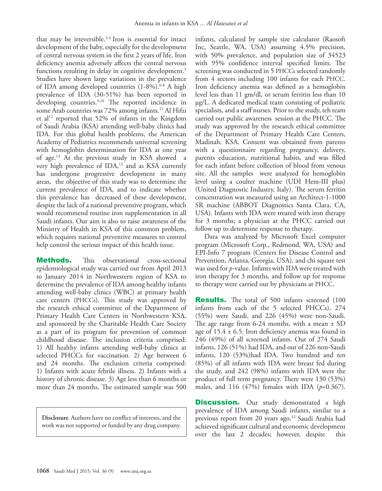that may be irreversible[.2-](#page-2-1)[4](#page-2-2) Iron is essential for intact development of the baby, especially for the development of central nervous system in the first 2 years of life. Iron deficiency anemia adversely affects the central nervous functions resulting in delay in cognitive development.<sup>5</sup> Studies have shown large variations in the prevalence of IDA among developed countries (1-8%). [6-](#page-2-4)[8](#page-3-0) A high prevalence of IDA (30-51%) has been reported in developing countries.<sup>9,10</sup> The reported incidence in some Arab countries was 72% among infants.<sup>11</sup> Al Hifzi et al<sup>[12](#page-3-4)</sup> reported that 52% of infants in the Kingdom of Saudi Arabia (KSA) attending well-baby clinics had IDA. For this global health problems, the American Academy of Pediatrics recommends universal screening with hemoglobin determination for IDA at one year of age[.13](#page-3-5) As the previous study in KSA showed a very high prevalence of IDA,<sup>12</sup> and as KSA currently has undergone progressive development in many areas, the objective of this study was to determine the current prevalence of IDA, and to indicate whether this prevalence has decreased of these development, despite the lack of a national preventive program, which would recommend routine iron supplementation in all Saudi infants. Our aim is also to raise awareness of the Ministry of Health in KSA of this common problem, which requires national preventive measures to control help control the serious impact of this health issue.

**Methods.** This observational cross-sectional epidemiological study was carried out from April 2013 to January 2014 in Northwestern region of KSA to determine the prevalence of IDA among healthy infants attending well-baby clinics (WBC) at primary health care centers (PHCCs). This study was approved by the research ethical committee of the Department of Primary Health Care Centers in Northwestern KSA, and sponsored by the Charitable Health Care Society as a part of its program for prevention of common childhood disease. The inclusion criteria comprised: 1) All healthy infants attending well-baby clinics at selected PHCCs for vaccination. 2) Age between 6 and 24 months. The exclusion criteria comprised: 1) Infants with acute febrile illness. 2) Infants with a history of chronic disease. 3) Age less than 6 months or more than 24 months. The estimated sample was 500

**Disclosure**. Authors have no conflict of interests, and the work was not supported or funded by any drug company.

infants, calculated by sample size calculator (Raosoft Inc, Seattle, WA, USA) assuming 4.5% precision, with 50% prevalence, and population size of 34523 with 95% confidence interval specified limits. The screening was conducted in 5 PHCCs selected randomly from 4 sectors including 100 infants for each PHCC. Iron deficiency anemia was defined as a hemoglobin level less than 11 gm/dl, or serum ferritin less than 10 µg/L. A dedicated medical team consisting of pediatric specialists, and a staff nurses. Prior to the study, teh team carried out public awareness session at the PHCC. The study was approved by the research ethical committee of the Department of Primary Health Care Centers, Madinah, KSA. Consent was obtained from parents with a questionnaire regarding pregnancy, delivery, parents education, nutritional habits, and was filled for each infant before collection of blood from venous site. All the samples were analyzed for hemoglobin level using a coulter machine (UDI Hem-III plus) (United Diagnostic Industry, Italy). The serum ferritin concentration was measured using an Architect-1-1000 SR machine (ABBOT Diagnostics Santa Clara, CA, USA). Infants with IDA were treated with iron therapy for 3 months; a physician at the PHCC carried out follow up to determine response to therapy.

Data was analyzed by Microsoft Excel computer program (Microsoft Corp., Redmond, WA, USA) and EPI-Info 7 program (Centers for Disease Control and Prevention, Atlanta, Georgia, USA), and chi square test was used for *p-*value. Infants with IDA were treated with iron therapy for 3 months, and follow up for response to therapy were carried out by physicians at PHCC.

Results. The total of 500 infants screened (100 infants from each of the 5 selected PHCCs), 274 (55%) were Saudi, and 226 (45%) were non-Saudi. The age range from  $6-24$  months, with a mean  $\pm$  SD age of  $15.4 \pm 6.5$ . Iron deficiency anemia was found in 246 (49%) of all screened infants. Out of 274 Saudi infants, 126 (51%) had IDA, and out of 226 non-Saudi infants, 120 (53%)had IDA. Two hundred and ten (85%) of all infants with IDA were breast fed during the study, and 242 (98%) infants with IDA were the product of full term pregnancy. There were 130 (53%) males, and 116 (47%) females with IDA (*p*=0.367).

**Discussion.** Our study demonstrated a high prevalence of IDA among Saudi infants, similar to a previous report from 20 years ago.<sup>[12](#page-3-4)</sup> Saudi Arabia had achieved significant cultural and economic development over the last 2 decades; however, despite this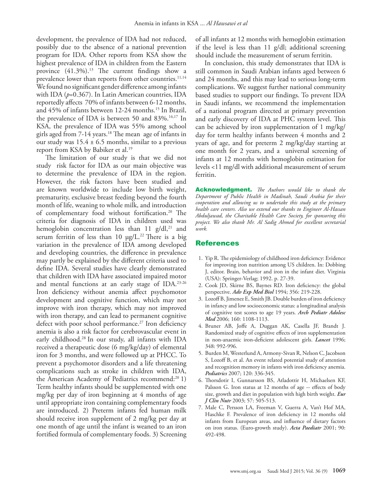development, the prevalence of IDA had not reduced, possibly due to the absence of a national prevention program for IDA. Other reports from KSA show the highest prevalence of IDA in children from the Eastern province (41.3%). [13](#page-3-5) The current findings show a prevalence lower than reports from other countries.<sup>11,14</sup> We found no significant gender difference among infants with IDA (*p*=0.367). In Latin American countries, IDA reportedly affects 70% of infants between 6-12 months, and 45% of infants between 12-24 months[.15](#page-3-6) In Brazil, the prevalence of IDA is between 50 and 83%.<sup>16[,17](#page-3-8)</sup> In KSA, the prevalence of IDA was 55% among school girls aged from 7-14 years.<sup>18</sup> The mean age of infants in our study was  $15.4 \pm 6.5$  months, similar to a previous report from KSA by Babiker et al.<sup>19</sup>

The limitation of our study is that we did not study risk factor for IDA as our main objective was to determine the prevalence of IDA in the region. However, the risk factors have been studied and are known worldwide to include low birth weight, prematurity, exclusive breast feeding beyond the fourth month of life, weaning to whole milk, and introduction of complementary food without fortification.20 The criteria for diagnosis of IDA in children used was hemoglobin concentration less than  $11 \text{ g}/\text{d}l$ ,<sup>21</sup> and serum ferritin of less than 10  $\mu$ g/L.<sup>22</sup> There is a big variation in the prevalence of IDA among developed and developing countries, the difference in prevalence may partly be explained by the different criteria used to define IDA. Several studies have clearly demonstrated that children with IDA have associated impaired motor and mental functions at an early stage of IDA.[23](#page-2-0)[-26](#page-3-9) Iron deficiency without anemia affect psychomotor development and cognitive function, which may not improve with iron therapy, which may not improved with iron therapy, and can lead to permanent cognitive defect with poor school performance.<sup>27</sup> Iron deficiency anemia is also a risk factor for cerebrovascular event in early childhood[.28](#page-3-11) In our study, all infants with IDA received a therapeutic dose (6 mg/kg/day) of elemental iron for 3 months, and were followed up at PHCC. To prevent a psychomotor disorders and a life threatening complications such as stroke in children with IDA, the American Academy of Pediatrics recommend:<sup>[20](#page-3-12)</sup> 1) Term healthy infants should be supplemented with one mg/kg per day of iron beginning at 4 months of age until appropriate iron containing complementary foods are introduced. 2) Preterm infants fed human milk should receive iron supplement of 2 mg/kg per day at one month of age until the infant is weaned to an iron fortified formula of complementary foods. 3) Screening

of all infants at 12 months with hemoglobin estimation if the level is less than 11 g/dl; additional screening should include the measurement of serum ferritin.

In conclusion, this study demonstrates that IDA is still common in Saudi Arabian infants aged between 6 and 24 months, and this may lead to serious long-term complications. We suggest further national community based studies to support our findings. To prevent IDA in Saudi infants, we recommend the implementation of a national program directed at primary prevention and early discovery of IDA at PHC system level. This can be achieved by iron supplementation of 1 mg/kg/ day for term healthy infants between 4 months and 2 years of age, and for preterm 2 mg/kg/day starting at one month for 2 years, and a universal screening of infants at 12 months with hemoglobin estimation for levels <11 mg/dl with additional measurement of serum ferritin.

Acknowledgment. *The Authors would like to thank the Department of Public Health in Madinah, Saudi Arabia for their cooperation and allowing us to undertake this study at the primary health care centers. Also we extend our thanks to Engineer Al-Hassan Abduljawad, the Charitable Health Care Society, for sponsoring this project. We also thank Mr. Al Sadig Ahmed for excellent secretarial work.* 

### References

- <span id="page-2-0"></span> 1. Yip R. The epidemiology of childhood iron deficiency: Evidence for improving iron nutrition among US children. In: Dobbing J, editor. Brain, behavior and iron in the infant diet. Virginia (USA): Springer-Verlag; 1992. p. 27-39.
- <span id="page-2-1"></span> 2. [Cook JD, Skirne BS, Baynes RD. Iron deficiency: the global](http://www.ncbi.nlm.nih.gov/pubmed/?term=7887226)  perspective. *Adv Exp Med Biol* [1994; 356: 219-228.](http://www.ncbi.nlm.nih.gov/pubmed/?term=7887226)
- 3. [Lozoff B, Jimenez E, Smith JB. Double burden of iron deficiency](doi:10.1001/archpedi.160.11.1108)  [in infancy and low socioeconomic status: a longitudinal analysis](doi:10.1001/archpedi.160.11.1108)  [of cognitive test scores to age 19 years.](doi:10.1001/archpedi.160.11.1108) *Arch Pediatr Adolesc Med* [2006; 160: 1108-1113.](doi:10.1001/archpedi.160.11.1108)
- <span id="page-2-2"></span> 4. [Bruner AB, Joffe A, Duggan AK, Casella JF, Brandt J.](http://www.ncbi.nlm.nih.gov/pubmed/?term=8855856)  [Randomized study of cognitive effects of iron supplementation](http://www.ncbi.nlm.nih.gov/pubmed/?term=8855856)  [in non-anaemic iron-deficient adolescent girls.](http://www.ncbi.nlm.nih.gov/pubmed/?term=8855856) *Lancet* 1996; [348: 992-996.](http://www.ncbi.nlm.nih.gov/pubmed/?term=8855856)
- <span id="page-2-3"></span> 5. [Burden M, Westerlund A, Armony-Sivan R, Nelson C, Jacobson](doi: 10.1542/peds.2006-2525)  [S, Lozoff B, et al. An event related potential study of attention](doi: 10.1542/peds.2006-2525)  [and recognition memory in infants with iron deficiency anemia.](doi: 10.1542/peds.2006-2525)  *Pediatrics* [2007; 120: 336-345.](doi: 10.1542/peds.2006-2525)
- <span id="page-2-4"></span> 6. [Thorsdotir I, Gunnarsson BS, Atladottir H, Michaelsen KF,](doi:10.1038/sj.ejcn.1601594)  [Palsson G. Iron status at 12 months of age -- effects of body](doi:10.1038/sj.ejcn.1601594)  [size, growth and diet in population with high birth weight.](doi:10.1038/sj.ejcn.1601594) *Eur J Clin Nutr* [2003; 57: 505-513.](doi:10.1038/sj.ejcn.1601594)
- 7. [Male C, Persson LA, Freeman V, Guerra A, Van't Hof MA,](DOI: 10.1111/j.1651-2227.2001.tb00787.x)  [Haschke F. Prevalence of iron deficiency in 12 months old](DOI: 10.1111/j.1651-2227.2001.tb00787.x)  [infants from European areas, and influence of dietary factors](DOI: 10.1111/j.1651-2227.2001.tb00787.x)  [on iron status. \(Euro-growth study\).](DOI: 10.1111/j.1651-2227.2001.tb00787.x) *Acta Paediatr* 2001; 90: [492-498.](DOI: 10.1111/j.1651-2227.2001.tb00787.x)